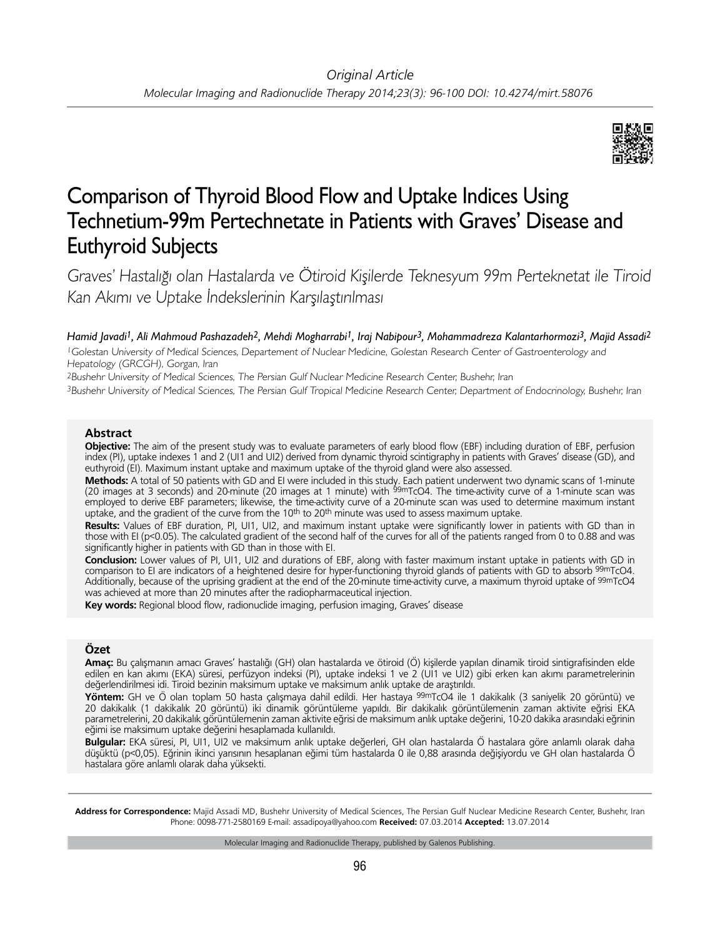

# Comparison of Thyroid Blood Flow and Uptake Indices Using Technetium-99m Pertechnetate in Patients with Graves' Disease and Euthyroid Subjects

Graves' Hastalığı olan Hastalarda ve Ötiroid Kişilerde Teknesyum 99m Perteknetat ile Tiroid Kan Akımı ve Uptake İndekslerinin Karşılaştırılması

*Hamid Javadi1, Ali Mahmoud Pashazadeh2, Mehdi Mogharrabi1, Iraj Nabipour3, Mohammadreza Kalantarhormozi3, Majid Assadi2*

<sup>1</sup>Golestan University of Medical Sciences, Departement of Nuclear Medicine, Golestan Research Center of Gastroenterology and Hepatology (GRCGH), Gorgan, Iran

<sup>2</sup>Bushehr University of Medical Sciences, The Persian Gulf Nuclear Medicine Research Center, Bushehr, Iran

<sup>3</sup>Bushehr University of Medical Sciences, The Persian Gulf Tropical Medicine Research Center, Department of Endocrinology, Bushehr, Iran

# **Abstract**

**Objective:** The aim of the present study was to evaluate parameters of early blood flow (EBF) including duration of EBF, perfusion index (PI), uptake indexes 1 and 2 (UI1 and UI2) derived from dynamic thyroid scintigraphy in patients with Graves' disease (GD), and euthyroid (EI). Maximum instant uptake and maximum uptake of the thyroid gland were also assessed.

**Methods:** A total of 50 patients with GD and EI were included in this study. Each patient underwent two dynamic scans of 1-minute (20 images at 3 seconds) and 20-minute (20 images at 1 minute) with <sup>99m</sup>TcO4. The time-activity curve of a 1-minute scan was employed to derive EBF parameters; likewise, the time-activity curve of a 20-minute scan was used to determine maximum instant uptake, and the gradient of the curve from the 10<sup>th</sup> to 20<sup>th</sup> minute was used to assess maximum uptake.

**Results:** Values of EBF duration, PI, UI1, UI2, and maximum instant uptake were significantly lower in patients with GD than in those with EI (p<0.05). The calculated gradient of the second half of the curves for all of the patients ranged from 0 to 0.88 and was significantly higher in patients with GD than in those with EI.

**Conclusion:** Lower values of PI, UI1, UI2 and durations of EBF, along with faster maximum instant uptake in patients with GD in comparison to EI are indicators of a heightened desire for hyper-functioning thyroid glands of patients with GD to absorb 99mTcO4. Additionally, because of the uprising gradient at the end of the 20-minute time-activity curve, a maximum thyroid uptake of 99mTcO4 was achieved at more than 20 minutes after the radiopharmaceutical injection.

**Key words:** Regional blood flow, radionuclide imaging, perfusion imaging, Graves' disease

# **Özet**

**Amaç:** Bu çalışmanın amacı Graves' hastalığı (GH) olan hastalarda ve ötiroid (Ö) kişilerde yapılan dinamik tiroid sintigrafisinden elde edilen en kan akımı (EKA) süresi, perfüzyon indeksi (PI), uptake indeksi 1 ve 2 (UI1 ve UI2) gibi erken kan akımı parametrelerinin değerlendirilmesi idi. Tiroid bezinin maksimum uptake ve maksimum anlık uptake de araştırıldı.

**Yöntem:** GH ve Ö olan toplam 50 hasta çalışmaya dahil edildi. Her hastaya 99mTcO4 ile 1 dakikalık (3 saniyelik 20 görüntü) ve 20 dakikalık (1 dakikalık 20 görüntü) iki dinamik görüntüleme yapıldı. Bir dakikalık görüntülemenin zaman aktivite eğrisi EKA parametrelerini, 20 dakikalık görüntülemenin zaman aktivite eğrisi de maksimum anlık uptake değerini, 10-20 dakika arasındaki eğrinin eğimi ise maksimum uptake değerini hesaplamada kullanıldı.

**Bulgular:** EKA süresi, PI, UI1, UI2 ve maksimum anlık uptake değerleri, GH olan hastalarda Ö hastalara göre anlamlı olarak daha düşüktü (p<0,05). Eğrinin ikinci yarısının hesaplanan eğimi tüm hastalarda 0 ile 0,88 arasında değişiyordu ve GH olan hastalarda Ö hastalara göre anlamlı olarak daha yüksekti.

**Address for Correspondence:** Majid Assadi MD, Bushehr University of Medical Sciences, The Persian Gulf Nuclear Medicine Research Center, Bushehr, Iran Phone: 0098-771-2580169 E-mail: assadipoya@yahoo.com **Received:** 07.03.2014 **Accepted:** 13.07.2014

Molecular Imaging and Radionuclide Therapy, published by Galenos Publishing.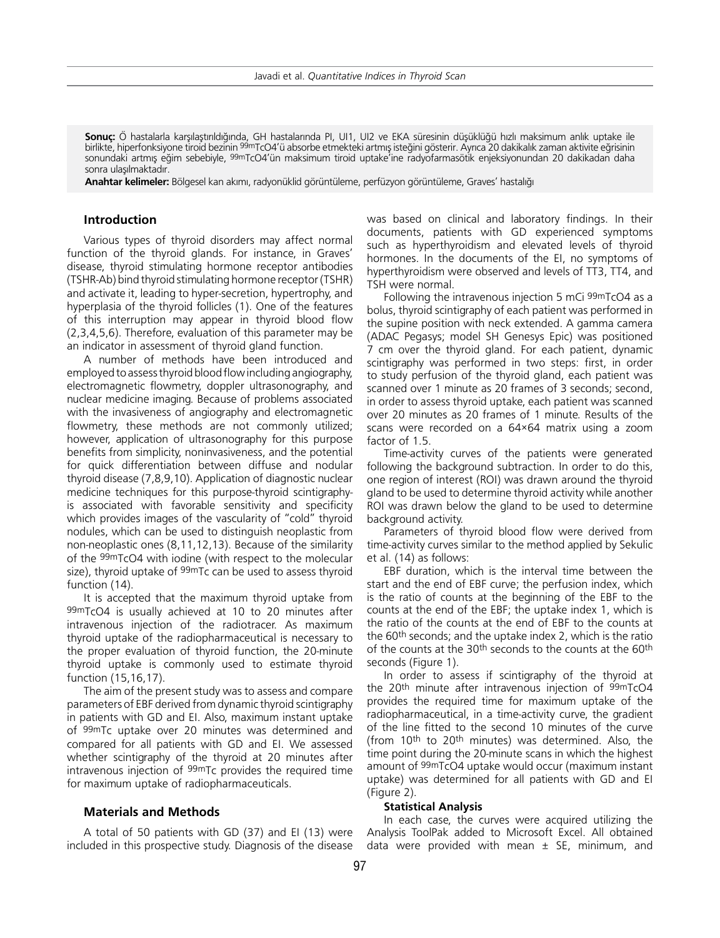**Sonuç:** Ö hastalarla karşılaştırıldığında, GH hastalarında PI, UI1, UI2 ve EKA süresinin düşüklüğü hızlı maksimum anlık uptake ile birlikte, hiperfonksiyone tiroid bezinin <sup>99m</sup>TcO4'ü absorbe etmekteki artmış isteğini gösterir. Ayrıca 20 dakikalık zaman aktivite eğrisinin sonundaki artmış eğim sebebiyle, 99mTcO4'ün maksimum tiroid uptake'ine radyofarmasötik enjeksiyonundan 20 dakikadan daha sonra ulaşılmaktadır.

**Anahtar kelimeler:** Bölgesel kan akımı, radyonüklid görüntüleme, perfüzyon görüntüleme, Graves' hastalığı

## **Introduction**

Various types of thyroid disorders may affect normal function of the thyroid glands. For instance, in Graves' disease, thyroid stimulating hormone receptor antibodies (TSHR-Ab) bind thyroid stimulating hormone receptor (TSHR) and activate it, leading to hyper-secretion, hypertrophy, and hyperplasia of the thyroid follicles (1). One of the features of this interruption may appear in thyroid blood flow (2,3,4,5,6). Therefore, evaluation of this parameter may be an indicator in assessment of thyroid gland function.

A number of methods have been introduced and employed to assess thyroid blood flow including angiography, electromagnetic flowmetry, doppler ultrasonography, and nuclear medicine imaging. Because of problems associated with the invasiveness of angiography and electromagnetic flowmetry, these methods are not commonly utilized; however, application of ultrasonography for this purpose benefits from simplicity, noninvasiveness, and the potential for quick differentiation between diffuse and nodular thyroid disease (7,8,9,10). Application of diagnostic nuclear medicine techniques for this purpose-thyroid scintigraphyis associated with favorable sensitivity and specificity which provides images of the vascularity of "cold" thyroid nodules, which can be used to distinguish neoplastic from non-neoplastic ones (8,11,12,13). Because of the similarity of the <sup>99m</sup>TcO4 with iodine (with respect to the molecular size), thyroid uptake of <sup>99m</sup>Tc can be used to assess thyroid function (14).

It is accepted that the maximum thyroid uptake from 99mTcO4 is usually achieved at 10 to 20 minutes after intravenous injection of the radiotracer. As maximum thyroid uptake of the radiopharmaceutical is necessary to the proper evaluation of thyroid function, the 20-minute thyroid uptake is commonly used to estimate thyroid function (15,16,17).

The aim of the present study was to assess and compare parameters of EBF derived from dynamic thyroid scintigraphy in patients with GD and EI. Also, maximum instant uptake of 99mTc uptake over 20 minutes was determined and compared for all patients with GD and EI. We assessed whether scintigraphy of the thyroid at 20 minutes after intravenous injection of 99mTc provides the required time for maximum uptake of radiopharmaceuticals.

#### **Materials and Methods**

A total of 50 patients with GD (37) and EI (13) were included in this prospective study. Diagnosis of the disease

was based on clinical and laboratory findings. In their documents, patients with GD experienced symptoms such as hyperthyroidism and elevated levels of thyroid hormones. In the documents of the EI, no symptoms of hyperthyroidism were observed and levels of TT3, TT4, and TSH were normal.

Following the intravenous injection 5 mCi 99mTcO4 as a bolus, thyroid scintigraphy of each patient was performed in the supine position with neck extended. A gamma camera (ADAC Pegasys; model SH Genesys Epic) was positioned 7 cm over the thyroid gland. For each patient, dynamic scintigraphy was performed in two steps: first, in order to study perfusion of the thyroid gland, each patient was scanned over 1 minute as 20 frames of 3 seconds; second, in order to assess thyroid uptake, each patient was scanned over 20 minutes as 20 frames of 1 minute. Results of the scans were recorded on a 64×64 matrix using a zoom factor of 1.5.

Time-activity curves of the patients were generated following the background subtraction. In order to do this, one region of interest (ROI) was drawn around the thyroid gland to be used to determine thyroid activity while another ROI was drawn below the gland to be used to determine background activity.

Parameters of thyroid blood flow were derived from time-activity curves similar to the method applied by Sekulic et al. (14) as follows:

EBF duration, which is the interval time between the start and the end of EBF curve; the perfusion index, which is the ratio of counts at the beginning of the EBF to the counts at the end of the EBF; the uptake index 1, which is the ratio of the counts at the end of EBF to the counts at the 60th seconds; and the uptake index 2, which is the ratio of the counts at the 30th seconds to the counts at the 60th seconds (Figure 1).

In order to assess if scintigraphy of the thyroid at the 20th minute after intravenous injection of 99mTcO4 provides the required time for maximum uptake of the radiopharmaceutical, in a time-activity curve, the gradient of the line fitted to the second 10 minutes of the curve (from 10th to 20th minutes) was determined. Also, the time point during the 20-minute scans in which the highest amount of 99mTcO4 uptake would occur (maximum instant uptake) was determined for all patients with GD and EI (Figure 2).

### **Statistical Analysis**

In each case, the curves were acquired utilizing the Analysis ToolPak added to Microsoft Excel. All obtained data were provided with mean  $\pm$  SE, minimum, and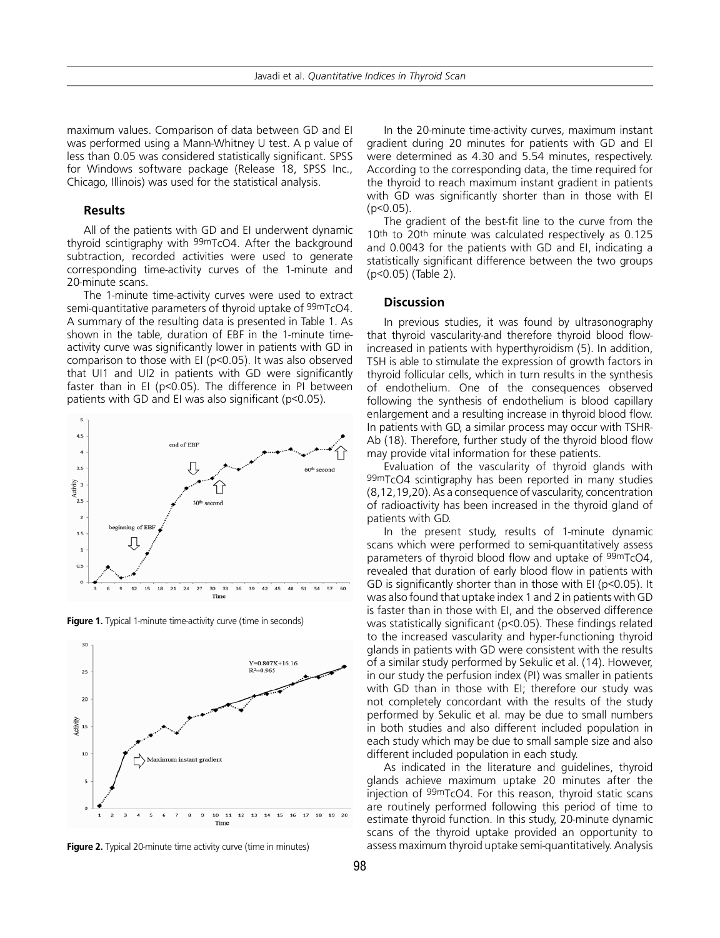maximum values. Comparison of data between GD and EI was performed using a Mann-Whitney U test. A p value of less than 0.05 was considered statistically significant. SPSS for Windows software package (Release 18, SPSS Inc., Chicago, Illinois) was used for the statistical analysis.

## **Results**

All of the patients with GD and EI underwent dynamic thyroid scintigraphy with 99mTcO4. After the background subtraction, recorded activities were used to generate corresponding time-activity curves of the 1-minute and 20-minute scans.

The 1-minute time-activity curves were used to extract semi-quantitative parameters of thyroid uptake of 99mTcO4. A summary of the resulting data is presented in Table 1. As shown in the table, duration of EBF in the 1-minute timeactivity curve was significantly lower in patients with GD in comparison to those with EI (p<0.05). It was also observed that UI1 and UI2 in patients with GD were significantly faster than in EI (p<0.05). The difference in PI between patients with GD and EI was also significant (p<0.05).



**Figure 1.** Typical 1-minute time-activity curve (time in seconds)



**Figure 2.** Typical 20-minute time activity curve (time in minutes)

In the 20-minute time-activity curves, maximum instant gradient during 20 minutes for patients with GD and EI were determined as 4.30 and 5.54 minutes, respectively. According to the corresponding data, the time required for the thyroid to reach maximum instant gradient in patients with GD was significantly shorter than in those with EI  $(p<0.05)$ .

The gradient of the best-fit line to the curve from the 10th to 20th minute was calculated respectively as 0.125 and 0.0043 for the patients with GD and EI, indicating a statistically significant difference between the two groups (p<0.05) (Table 2).

## **Discussion**

In previous studies, it was found by ultrasonography that thyroid vascularity-and therefore thyroid blood flowincreased in patients with hyperthyroidism (5). In addition, TSH is able to stimulate the expression of growth factors in thyroid follicular cells, which in turn results in the synthesis of endothelium. One of the consequences observed following the synthesis of endothelium is blood capillary enlargement and a resulting increase in thyroid blood flow. In patients with GD, a similar process may occur with TSHR-Ab (18). Therefore, further study of the thyroid blood flow may provide vital information for these patients.

Evaluation of the vascularity of thyroid glands with 99mTcO4 scintigraphy has been reported in many studies (8,12,19,20). As a consequence of vascularity, concentration of radioactivity has been increased in the thyroid gland of patients with GD.

In the present study, results of 1-minute dynamic scans which were performed to semi-quantitatively assess parameters of thyroid blood flow and uptake of 99mTcO4, revealed that duration of early blood flow in patients with GD is significantly shorter than in those with EI (p<0.05). It was also found that uptake index 1 and 2 in patients with GD is faster than in those with EI, and the observed difference was statistically significant (p<0.05). These findings related to the increased vascularity and hyper-functioning thyroid glands in patients with GD were consistent with the results of a similar study performed by Sekulic et al. (14). However, in our study the perfusion index (PI) was smaller in patients with GD than in those with EI; therefore our study was not completely concordant with the results of the study performed by Sekulic et al. may be due to small numbers in both studies and also different included population in each study which may be due to small sample size and also different included population in each study.

As indicated in the literature and guidelines, thyroid glands achieve maximum uptake 20 minutes after the injection of 99mTcO4. For this reason, thyroid static scans are routinely performed following this period of time to estimate thyroid function. In this study, 20-minute dynamic scans of the thyroid uptake provided an opportunity to assess maximum thyroid uptake semi-quantitatively. Analysis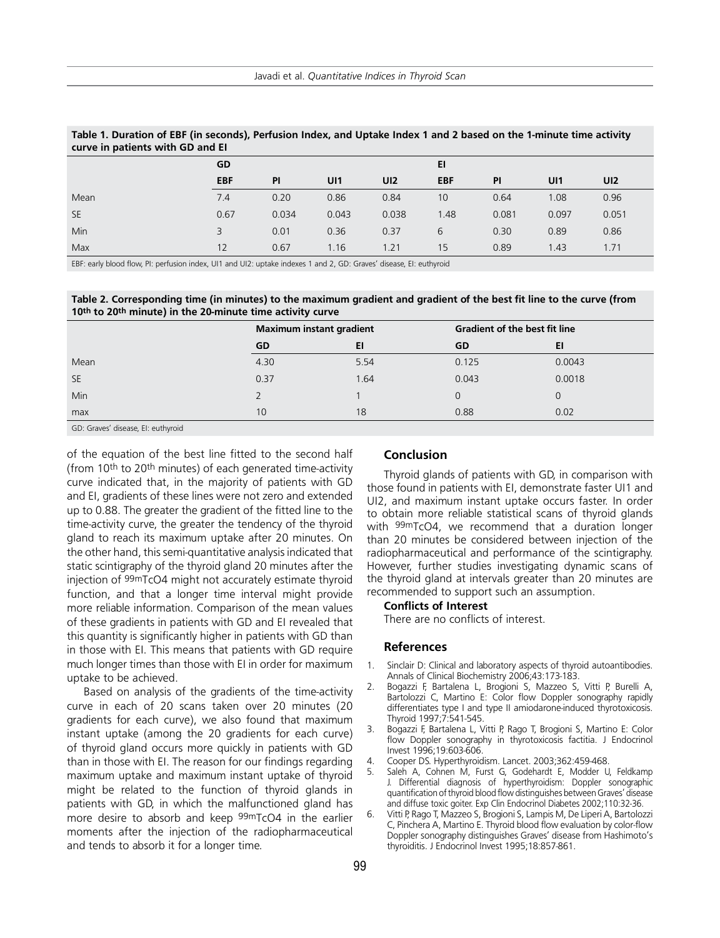| curve in patients with GD and EI |            |           |       |                 |            |           |       |       |  |  |  |  |
|----------------------------------|------------|-----------|-------|-----------------|------------|-----------|-------|-------|--|--|--|--|
|                                  | GD         |           |       |                 | EI         |           |       |       |  |  |  |  |
|                                  | <b>EBF</b> | <b>PI</b> | UI1   | UI <sub>2</sub> | <b>EBF</b> | <b>PI</b> | UI1   | UI2   |  |  |  |  |
| Mean                             | 7.4        | 0.20      | 0.86  | 0.84            | 10         | 0.64      | 1.08  | 0.96  |  |  |  |  |
| <b>SE</b>                        | 0.67       | 0.034     | 0.043 | 0.038           | 1.48       | 0.081     | 0.097 | 0.051 |  |  |  |  |
| Min                              | 3          | 0.01      | 0.36  | 0.37            | 6          | 0.30      | 0.89  | 0.86  |  |  |  |  |
| Max                              | 12         | 0.67      | 1.16  | 1.21            | 15         | 0.89      | 1.43  | 1.71  |  |  |  |  |

**Table 1. Duration of EBF (in seconds), Perfusion Index, and Uptake Index 1 and 2 based on the 1-minute time activity** 

EBF: early blood flow, PI: perfusion index, UI1 and UI2: uptake indexes 1 and 2, GD: Graves' disease, EI: euthyroid

| Table 2. Corresponding time (in minutes) to the maximum gradient and gradient of the best fit line to the curve (from |  |
|-----------------------------------------------------------------------------------------------------------------------|--|
| 10 <sup>th</sup> to 20 <sup>th</sup> minute) in the 20-minute time activity curve                                     |  |

|           | <b>Maximum instant gradient</b> |      | <b>Gradient of the best fit line</b> |        |  |
|-----------|---------------------------------|------|--------------------------------------|--------|--|
|           | GD                              | EI   | GD                                   | EI     |  |
| Mean      | 4.30                            | 5.54 | 0.125                                | 0.0043 |  |
| <b>SE</b> | 0.37                            | 1.64 | 0.043                                | 0.0018 |  |
| Min       |                                 |      | $\Omega$                             |        |  |
| max       | 10                              | 18   | 0.88                                 | 0.02   |  |

GD: Graves' disease, EI: euthyroid

of the equation of the best line fitted to the second half (from 10<sup>th</sup> to 20<sup>th</sup> minutes) of each generated time-activity curve indicated that, in the majority of patients with GD and EI, gradients of these lines were not zero and extended up to 0.88. The greater the gradient of the fitted line to the time-activity curve, the greater the tendency of the thyroid gland to reach its maximum uptake after 20 minutes. On the other hand, this semi-quantitative analysis indicated that static scintigraphy of the thyroid gland 20 minutes after the injection of 99mTcO4 might not accurately estimate thyroid function, and that a longer time interval might provide more reliable information. Comparison of the mean values of these gradients in patients with GD and EI revealed that this quantity is significantly higher in patients with GD than in those with EI. This means that patients with GD require much longer times than those with EI in order for maximum uptake to be achieved.

Based on analysis of the gradients of the time-activity curve in each of 20 scans taken over 20 minutes (20 gradients for each curve), we also found that maximum instant uptake (among the 20 gradients for each curve) of thyroid gland occurs more quickly in patients with GD than in those with EI. The reason for our findings regarding maximum uptake and maximum instant uptake of thyroid might be related to the function of thyroid glands in patients with GD, in which the malfunctioned gland has more desire to absorb and keep <sup>99m</sup>TcO4 in the earlier moments after the injection of the radiopharmaceutical and tends to absorb it for a longer time.

## **Conclusion**

Thyroid glands of patients with GD, in comparison with those found in patients with EI, demonstrate faster UI1 and UI2, and maximum instant uptake occurs faster. In order to obtain more reliable statistical scans of thyroid glands with <sup>99m</sup>TcO4, we recommend that a duration longer than 20 minutes be considered between injection of the radiopharmaceutical and performance of the scintigraphy. However, further studies investigating dynamic scans of the thyroid gland at intervals greater than 20 minutes are recommended to support such an assumption.

### **Conflicts of Interest**

There are no conflicts of interest.

### **References**

- 1. Sinclair D: Clinical and laboratory aspects of thyroid autoantibodies. Annals of Clinical Biochemistry 2006;43:173-183.
- 2. Bogazzi F, Bartalena L, Brogioni S, Mazzeo S, Vitti P, Burelli A, Bartolozzi C, Martino E: Color flow Doppler sonography rapidly differentiates type I and type II amiodarone-induced thyrotoxicosis. Thyroid 1997;7:541-545.
- 3. Bogazzi F, Bartalena L, Vitti P, Rago T, Brogioni S, Martino E: Color flow Doppler sonography in thyrotoxicosis factitia. J Endocrinol Invest 1996;19:603-606.
- 4. Cooper DS. Hyperthyroidism. Lancet. 2003;362:459-468.
- Saleh A, Cohnen M, Furst G, Godehardt E, Modder U, Feldkamp J. Differential diagnosis of hyperthyroidism: Doppler sonographic quantification of thyroid blood flow distinguishes between Graves' disease and diffuse toxic goiter. Exp Clin Endocrinol Diabetes 2002;110:32-36.
- 6. Vitti P, Rago T, Mazzeo S, Brogioni S, Lampis M, De Liperi A, Bartolozzi C, Pinchera A, Martino E. Thyroid blood flow evaluation by color-flow Doppler sonography distinguishes Graves' disease from Hashimoto's thyroiditis. J Endocrinol Invest 1995;18:857-861.